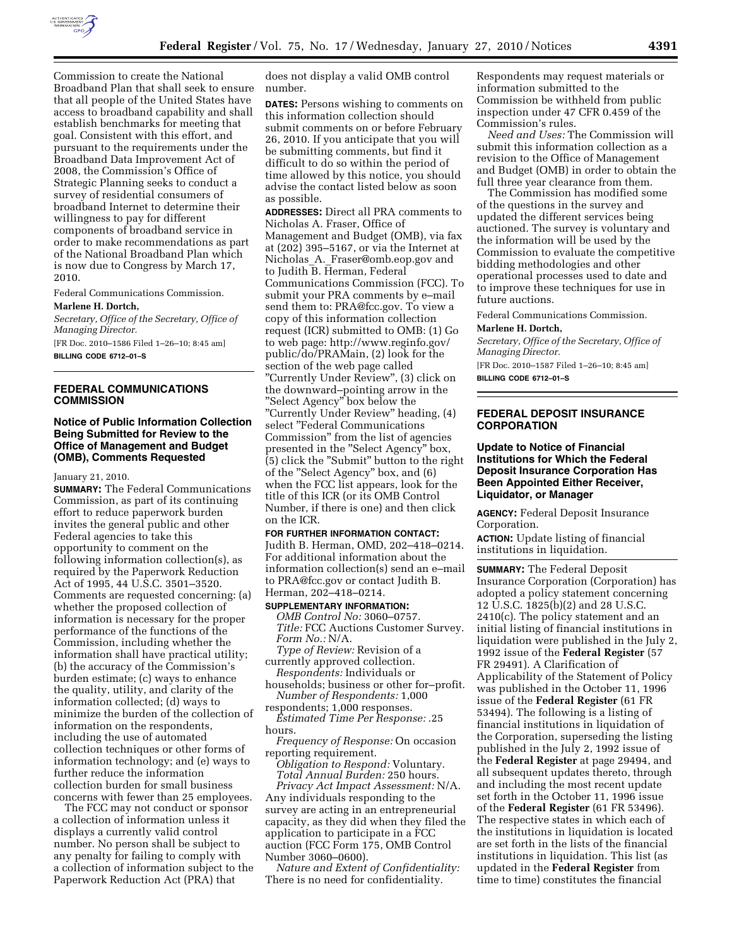

Commission to create the National Broadband Plan that shall seek to ensure that all people of the United States have access to broadband capability and shall establish benchmarks for meeting that goal. Consistent with this effort, and pursuant to the requirements under the Broadband Data Improvement Act of 2008, the Commission's Office of Strategic Planning seeks to conduct a survey of residential consumers of broadband Internet to determine their willingness to pay for different components of broadband service in order to make recommendations as part of the National Broadband Plan which is now due to Congress by March 17, 2010.

Federal Communications Commission.

#### **Marlene H. Dortch,**

*Secretary, Office of the Secretary, Office of Managing Director.* 

[FR Doc. 2010–1586 Filed 1–26–10; 8:45 am] **BILLING CODE 6712–01–S** 

## **FEDERAL COMMUNICATIONS COMMISSION**

#### **Notice of Public Information Collection Being Submitted for Review to the Office of Management and Budget (OMB), Comments Requested**

## January 21, 2010.

**SUMMARY:** The Federal Communications Commission, as part of its continuing effort to reduce paperwork burden invites the general public and other Federal agencies to take this opportunity to comment on the following information collection(s), as required by the Paperwork Reduction Act of 1995, 44 U.S.C. 3501–3520. Comments are requested concerning: (a) whether the proposed collection of information is necessary for the proper performance of the functions of the Commission, including whether the information shall have practical utility; (b) the accuracy of the Commission's burden estimate; (c) ways to enhance the quality, utility, and clarity of the information collected; (d) ways to minimize the burden of the collection of information on the respondents, including the use of automated collection techniques or other forms of information technology; and (e) ways to further reduce the information collection burden for small business concerns with fewer than 25 employees.

The FCC may not conduct or sponsor a collection of information unless it displays a currently valid control number. No person shall be subject to any penalty for failing to comply with a collection of information subject to the Paperwork Reduction Act (PRA) that

does not display a valid OMB control number.

**DATES:** Persons wishing to comments on this information collection should submit comments on or before February 26, 2010. If you anticipate that you will be submitting comments, but find it difficult to do so within the period of time allowed by this notice, you should advise the contact listed below as soon as possible.

**ADDRESSES:** Direct all PRA comments to Nicholas A. Fraser, Office of Management and Budget (OMB), via fax at (202) 395–5167, or via the Internet at Nicholas A. Fraser@omb.eop.gov and to Judith B. Herman, Federal Communications Commission (FCC). To submit your PRA comments by e–mail send them to: PRA@fcc.gov. To view a copy of this information collection request (ICR) submitted to OMB: (1) Go to web page: http://www.reginfo.gov/ public/do/PRAMain, (2) look for the section of the web page called ''Currently Under Review'', (3) click on the downward–pointing arrow in the ''Select Agency'' box below the ''Currently Under Review'' heading, (4) select ''Federal Communications Commission'' from the list of agencies presented in the ''Select Agency'' box, (5) click the ''Submit'' button to the right of the ''Select Agency'' box, and (6) when the FCC list appears, look for the title of this ICR (or its OMB Control Number, if there is one) and then click on the ICR.

#### **FOR FURTHER INFORMATION CONTACT:**  Judith B. Herman, OMD, 202–418–0214. For additional information about the information collection(s) send an e–mail to PRA@fcc.gov or contact Judith B. Herman, 202–418–0214.

#### **SUPPLEMENTARY INFORMATION:**

*OMB Control No:* 3060–0757. *Title:* FCC Auctions Customer Survey. *Form No.:* N/A.

*Type of Review:* Revision of a currently approved collection. *Respondents:* Individuals or

households; business or other for–profit. *Number of Respondents:* 1,000

respondents; 1,000 responses. *Estimated Time Per Response:* .25 hours.

*Frequency of Response:* On occasion reporting requirement.

*Obligation to Respond:* Voluntary. *Total Annual Burden:* 250 hours. *Privacy Act Impact Assessment:* N/A. Any individuals responding to the survey are acting in an entrepreneurial capacity, as they did when they filed the application to participate in a FCC auction (FCC Form 175, OMB Control Number 3060–0600).

*Nature and Extent of Confidentiality:*  There is no need for confidentiality.

Respondents may request materials or information submitted to the Commission be withheld from public inspection under 47 CFR 0.459 of the Commission's rules.

*Need and Uses:* The Commission will submit this information collection as a revision to the Office of Management and Budget (OMB) in order to obtain the full three year clearance from them.

The Commission has modified some of the questions in the survey and updated the different services being auctioned. The survey is voluntary and the information will be used by the Commission to evaluate the competitive bidding methodologies and other operational processes used to date and to improve these techniques for use in future auctions.

Federal Communications Commission.

# **Marlene H. Dortch,**

*Secretary, Office of the Secretary, Office of Managing Director.* 

[FR Doc. 2010–1587 Filed 1–26–10; 8:45 am] **BILLING CODE 6712–01–S** 

## **FEDERAL DEPOSIT INSURANCE CORPORATION**

#### **Update to Notice of Financial Institutions for Which the Federal Deposit Insurance Corporation Has Been Appointed Either Receiver, Liquidator, or Manager**

**AGENCY:** Federal Deposit Insurance Corporation.

**ACTION:** Update listing of financial institutions in liquidation.

**SUMMARY:** The Federal Deposit Insurance Corporation (Corporation) has adopted a policy statement concerning 12 U.S.C. 1825(b)(2) and 28 U.S.C. 2410(c). The policy statement and an initial listing of financial institutions in liquidation were published in the July 2, 1992 issue of the **Federal Register** (57 FR 29491). A Clarification of Applicability of the Statement of Policy was published in the October 11, 1996 issue of the **Federal Register** (61 FR 53494). The following is a listing of financial institutions in liquidation of the Corporation, superseding the listing published in the July 2, 1992 issue of the **Federal Register** at page 29494, and all subsequent updates thereto, through and including the most recent update set forth in the October 11, 1996 issue of the **Federal Register** (61 FR 53496). The respective states in which each of the institutions in liquidation is located are set forth in the lists of the financial institutions in liquidation. This list (as updated in the **Federal Register** from time to time) constitutes the financial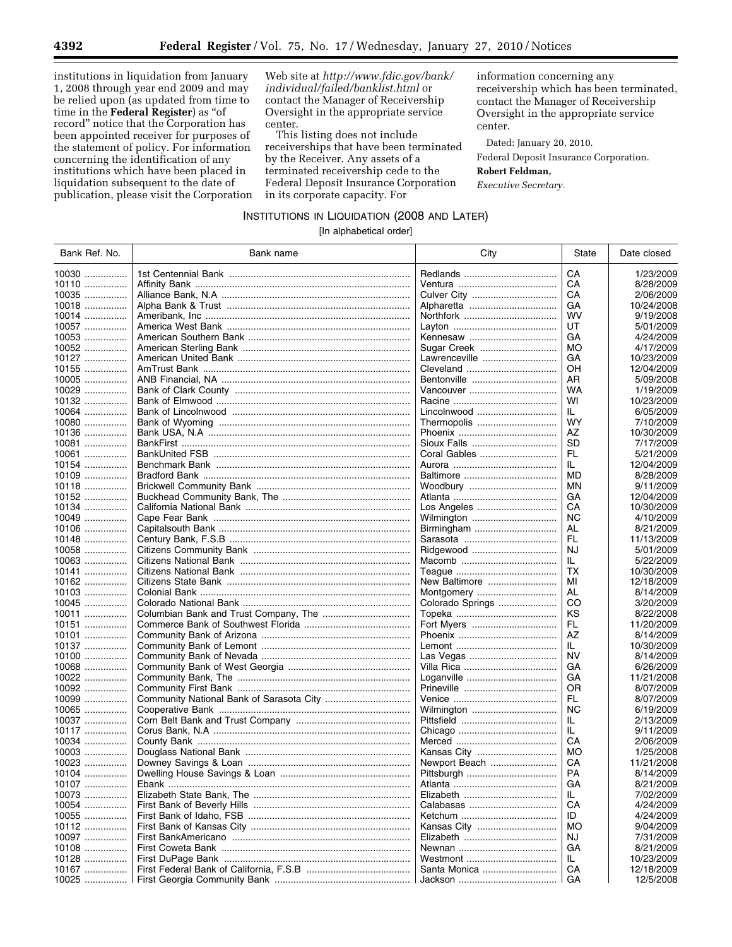institutions in liquidation from January 1, 2008 through year end 2009 and may be relied upon (as updated from time to time in the **Federal Register**) as ''of record'' notice that the Corporation has been appointed receiver for purposes of the statement of policy. For information concerning the identification of any institutions which have been placed in liquidation subsequent to the date of publication, please visit the Corporation

Web site at *http://www.fdic.gov/bank/ individual/failed/banklist.html* or contact the Manager of Receivership Oversight in the appropriate service center.

This listing does not include receiverships that have been terminated by the Receiver. Any assets of a terminated receivership cede to the Federal Deposit Insurance Corporation in its corporate capacity. For

information concerning any receivership which has been terminated, contact the Manager of Receivership Oversight in the appropriate service center.

Dated: January 20, 2010.

Federal Deposit Insurance Corporation.

## **Robert Feldman,**

*Executive Secretary.* 

INSTITUTIONS IN LIQUIDATION (2008 AND LATER)

[In alphabetical order]

| Bank Ref. No. | Bank name | City             | State     | Date closed |
|---------------|-----------|------------------|-----------|-------------|
| $10030$       |           |                  | CA        | 1/23/2009   |
| $10110$       |           |                  | CA        | 8/28/2009   |
| 10035         |           |                  | CA        | 2/06/2009   |
| 10018         |           |                  | GA        | 10/24/2008  |
| 10014         |           |                  | <b>WV</b> | 9/19/2008   |
| 10057         |           |                  | UT        | 5/01/2009   |
| 10053         |           |                  | GA        |             |
|               |           | Kennesaw         |           | 4/24/2009   |
| 10052         |           | Sugar Creek      | MO        | 4/17/2009   |
| 10127         |           | Lawrenceville    | GA        | 10/23/2009  |
| $10155$       |           |                  | OH        | 12/04/2009  |
| $10005$       |           | Bentonville      | AR        | 5/09/2008   |
| $10029$       |           | Vancouver        | WA        | 1/19/2009   |
| $10132$       |           |                  | WI        | 10/23/2009  |
| 10064         |           | Lincolnwood      | IL.       | 6/05/2009   |
| 10080         |           | Thermopolis      | <b>WY</b> | 7/10/2009   |
| 10136         |           |                  | AZ        | 10/30/2009  |
| 10081         |           |                  | <b>SD</b> | 7/17/2009   |
| 10061         |           | Coral Gables     | FL.       | 5/21/2009   |
| 10154         |           |                  | IL.       | 12/04/2009  |
| 10109         |           |                  | MD        | 8/28/2009   |
| $10118$       |           | Woodbury         | ΜN        | 9/11/2009   |
| 10152         |           |                  | GA        | 12/04/2009  |
| 10134         |           | Los Angeles      | CA        | 10/30/2009  |
| 10049         |           | Wilmington       | <b>NC</b> | 4/10/2009   |
| $10106$       |           |                  | AL        | 8/21/2009   |
| 10148         |           |                  | FL        | 11/13/2009  |
| $10058$       |           | Ridgewood        | NJ        | 5/01/2009   |
| $10063$       |           |                  | IL.       | 5/22/2009   |
| 10141         |           |                  | TX        | 10/30/2009  |
| 10162         |           | New Baltimore    | МI        | 12/18/2009  |
| 10103         |           | Montgomery       | AL        | 8/14/2009   |
| 10045         |           | Colorado Springs | CO        | 3/20/2009   |
| 10011         |           |                  | ΚS        | 8/22/2008   |
| 10151         |           | Fort Myers       | FL        | 11/20/2009  |
| 10101         |           |                  | AZ        |             |
|               |           |                  |           | 8/14/2009   |
| 10137         |           |                  | IL.       | 10/30/2009  |
| 10100         |           | Las Vegas        | <b>NV</b> | 8/14/2009   |
| 10068         |           |                  | GA        | 6/26/2009   |
| 10022         |           |                  | GA        | 11/21/2008  |
| 10092         |           |                  | <b>OR</b> | 8/07/2009   |
| $10099$       |           |                  | FL.       | 8/07/2009   |
| $10065$       |           | Wilmington       | <b>NC</b> | 6/19/2009   |
| $10037$       |           |                  | IL.       | 2/13/2009   |
| 10117         |           |                  | IL        | 9/11/2009   |
| 10034         |           |                  | CA        | 2/06/2009   |
| 10003         |           | Kansas City      | MO        | 1/25/2008   |
| 10023         |           | Newport Beach    | CA        | 11/21/2008  |
| 10104         |           |                  | <b>PA</b> | 8/14/2009   |
| 10107         |           |                  | GA        | 8/21/2009   |
| 10073         |           |                  | IL.       | 7/02/2009   |
| $10054$       |           |                  | CA        | 4/24/2009   |
| 10055         |           |                  | ID        | 4/24/2009   |
| 10112         |           | Kansas City      | MO        | 9/04/2009   |
| 10097         |           |                  | NJ        | 7/31/2009   |
| $10108$       |           |                  | GА        | 8/21/2009   |
| 10128         |           |                  | IL        | 10/23/2009  |
| 10167         |           | Santa Monica     | CA        | 12/18/2009  |
| 10025         |           |                  | GA        | 12/5/2008   |
|               |           |                  |           |             |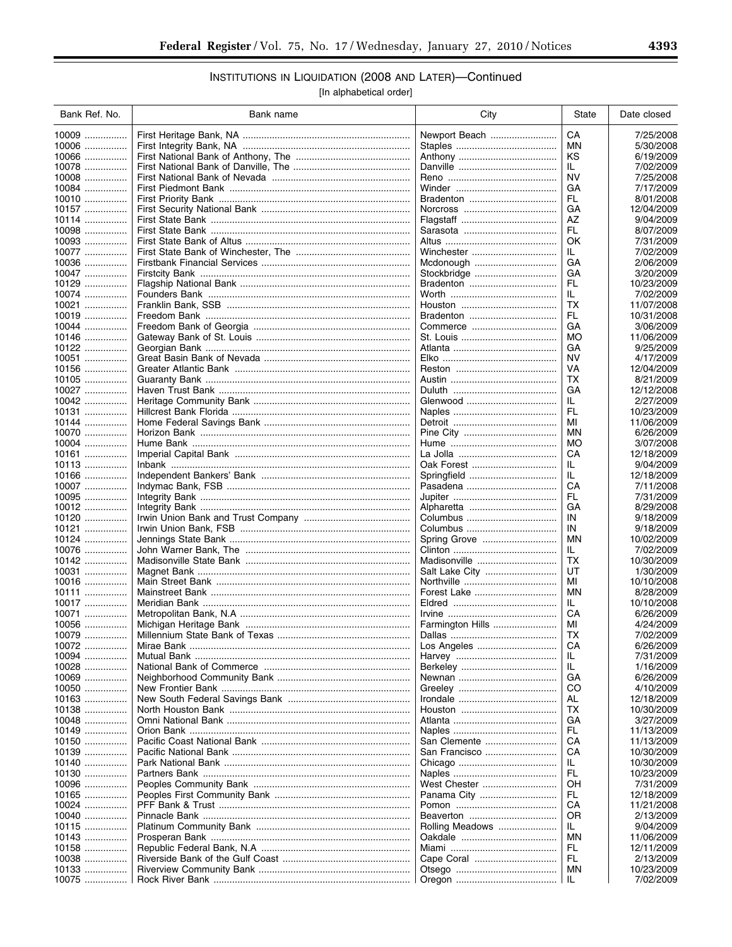# INSTITUTIONS IN LIQUIDATION (2008 AND LATER)-Continued

[In alphabetical order]

| Bank Ref. No.  | Bank name | City             | State     | Date closed              |
|----------------|-----------|------------------|-----------|--------------------------|
| 10009          |           | Newport Beach    | СA        | 7/25/2008                |
| 10006          |           |                  | ΜN        | 5/30/2008                |
| 10066          |           |                  | ΚS        | 6/19/2009                |
| 10078          |           |                  | IL.       | 7/02/2009                |
| 10008          |           |                  | NV        | 7/25/2008                |
| 10084          |           |                  | GА        | 7/17/2009                |
| 10010          |           |                  | FL        | 8/01/2008                |
| 10157          |           |                  | GА        | 12/04/2009               |
| 10114          |           |                  | ΑZ        | 9/04/2009                |
| $10098$        |           |                  | FL        | 8/07/2009                |
| $10093$        |           |                  | ОK        | 7/31/2009                |
| 10077          |           | Winchester       | IL.       | 7/02/2009                |
| 10036          |           | Mcdonough        | GА        | 2/06/2009                |
| 10047          |           | Stockbridge      | GА        | 3/20/2009                |
| 10129          |           |                  | FL        | 10/23/2009               |
| 10074          |           |                  | IL.       | 7/02/2009                |
| 10021          |           |                  | ТX        | 11/07/2008               |
| 10019          |           |                  | FL        | 10/31/2008               |
| 10044          |           | Commerce         | GА        | 3/06/2009                |
| 10146          |           |                  | МO        | 11/06/2009               |
| 10122          |           |                  | GA        | 9/25/2009                |
| 10051          |           |                  | NV        | 4/17/2009                |
| 10156          |           |                  | VA        | 12/04/2009               |
| 10105          |           |                  | ТX        | 8/21/2009                |
| $10027$        |           |                  | GA        | 12/12/2008               |
| $10042$        |           | Glenwood         | IL.       | 2/27/2009                |
| 10131          |           |                  | FL.       | 10/23/2009               |
| 10144          |           |                  | ΜI        | 11/06/2009               |
| 10070          |           |                  | ΜN        | 6/26/2009                |
| 10004          |           |                  | MО        | 3/07/2008                |
|                |           |                  | CА        | 12/18/2009               |
| 10113          |           | Oak Forest       | IL        | 9/04/2009                |
| 10166          |           | Springfield      | IL        | 12/18/2009               |
| 10007          |           | Pasadena         | СA        | 7/11/2008                |
| 10095          |           |                  | FL        | 7/31/2009                |
| 10012          |           |                  | GA        | 8/29/2008                |
| 10120          |           | Columbus         | IN        | 9/18/2009                |
| 10121          |           | Columbus         | IN        | 9/18/2009                |
| 10124          |           | Spring Grove     | MN        | 10/02/2009               |
| 10076          |           |                  | IL.       | 7/02/2009                |
| 10142          |           | Madisonville     | ТX        | 10/30/2009               |
| 10031          |           |                  | UT        | 1/30/2009                |
| 10016          |           |                  | ΜI        | 10/10/2008               |
| 10111          |           |                  | ΜN        | 8/28/2009                |
| 10017          |           |                  | IL.       | 10/10/2008               |
| 10071          |           |                  | CА        | 6/26/2009                |
| 10056          |           | Farmington Hills | MI        | 4/24/2009                |
| 10079          |           |                  | ТX        | 7/02/2009                |
| 10072          |           | Los Angeles      | СA        | 6/26/2009                |
| 10094          |           |                  | IL        | 7/31/2009                |
| 10028          |           |                  | IL        | 1/16/2009                |
| 10069          |           |                  | GА        | 6/26/2009                |
| 10050          |           |                  | CO        | 4/10/2009                |
| 10163          |           |                  | AL        | 12/18/2009               |
| 10138          |           |                  | ТX        | 10/30/2009               |
| 10048<br>10149 |           |                  | GА<br>FL. | 3/27/2009                |
| 10150          |           | San Clemente     | CА        | 11/13/2009<br>11/13/2009 |
| 10139          |           | San Francisco    | CА        | 10/30/2009               |
| 10140          |           |                  | IL        | 10/30/2009               |
| 10130          |           |                  | FL        | 10/23/2009               |
| 10096          |           | West Chester     | OН        | 7/31/2009                |
| 10165          |           | Panama City      | FL.       | 12/18/2009               |
| 10024          |           |                  | CА        | 11/21/2008               |
| 10040          |           | Beaverton        | ΟR        | 2/13/2009                |
| 10115          |           | Rolling Meadows  | IL.       | 9/04/2009                |
| 10143          |           |                  | ΜN        | 11/06/2009               |
| 10158          |           |                  | FL        | 12/11/2009               |
| 10038          |           |                  | FL.       | 2/13/2009                |
| 10133          |           |                  | ΜN        | 10/23/2009               |
| 10075          |           |                  | IL        | 7/02/2009                |